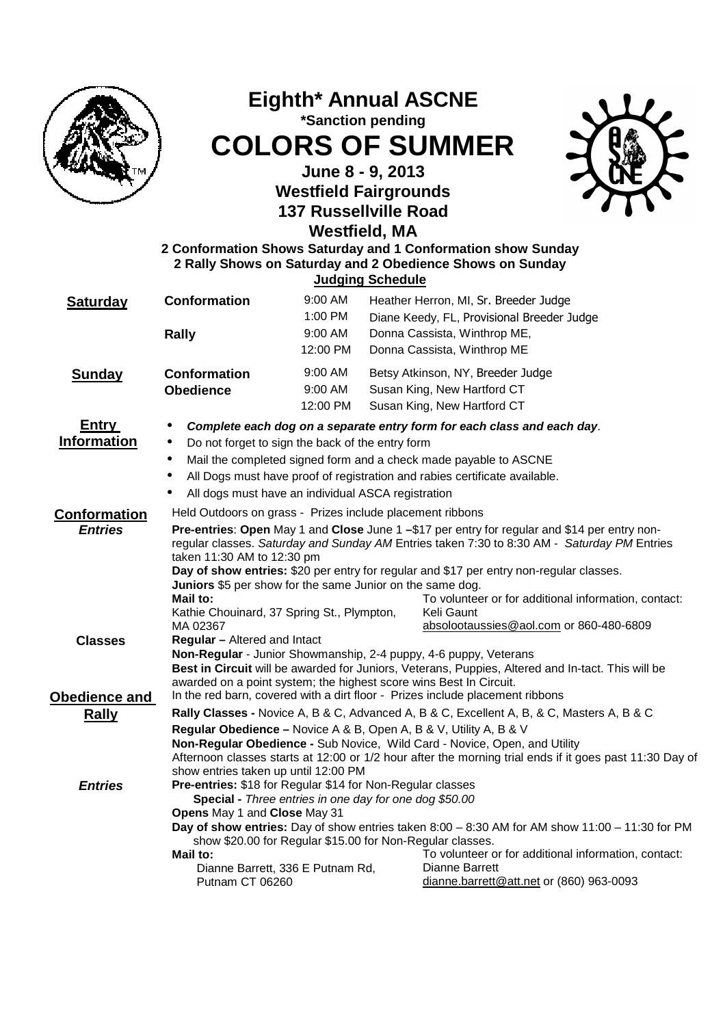

## **Eighth\* Annual ASCNE \*Sanction pending COLORS OF SUMMER**

**June 8 - 9, 2013 Westfield Fairgrounds 137 Russellville Road Westfield, MA**



## **2 Conformation Shows Saturday and 1 Conformation show Sunday 2 Rally Shows on Saturday and 2 Obedience Shows on Sunday Judging Schedule Conformation** 9:00 AM Heather Herron, MI, Sr. Breeder Judge

| Saturday                              | Conformation<br>Rally                                                                                                                                                                                                                                                                                                                                                                                                                                                                                                                                                                                                                                                                                                                                                                                                                                                                                                     | <b>9.UU AIVI</b><br>1:00 PM<br>9:00 AM<br>12:00 PM |  | Heather Herron, MI, Sr. Breeder Judge<br>Diane Keedy, FL, Provisional Breeder Judge<br>Donna Cassista, Winthrop ME,<br>Donna Cassista, Winthrop ME                                                                 |  |  |  |  |
|---------------------------------------|---------------------------------------------------------------------------------------------------------------------------------------------------------------------------------------------------------------------------------------------------------------------------------------------------------------------------------------------------------------------------------------------------------------------------------------------------------------------------------------------------------------------------------------------------------------------------------------------------------------------------------------------------------------------------------------------------------------------------------------------------------------------------------------------------------------------------------------------------------------------------------------------------------------------------|----------------------------------------------------|--|--------------------------------------------------------------------------------------------------------------------------------------------------------------------------------------------------------------------|--|--|--|--|
| <b>Sunday</b>                         | <b>Conformation</b><br><b>Obedience</b>                                                                                                                                                                                                                                                                                                                                                                                                                                                                                                                                                                                                                                                                                                                                                                                                                                                                                   | $9:00$ AM<br>$9:00$ AM<br>12:00 PM                 |  | Betsy Atkinson, NY, Breeder Judge<br>Susan King, New Hartford CT<br>Susan King, New Hartford CT                                                                                                                    |  |  |  |  |
| <b>Entry</b><br><b>Information</b>    | Complete each dog on a separate entry form for each class and each day.<br>$\bullet$<br>Do not forget to sign the back of the entry form<br>$\bullet$<br>Mail the completed signed form and a check made payable to ASCNE<br>$\bullet$<br>All Dogs must have proof of registration and rabies certificate available.<br>$\bullet$<br>All dogs must have an individual ASCA registration<br>٠                                                                                                                                                                                                                                                                                                                                                                                                                                                                                                                              |                                                    |  |                                                                                                                                                                                                                    |  |  |  |  |
| <b>Conformation</b><br><b>Entries</b> | Held Outdoors on grass - Prizes include placement ribbons<br>Pre-entries: Open May 1 and Close June 1 -\$17 per entry for regular and \$14 per entry non-<br>regular classes. Saturday and Sunday AM Entries taken 7:30 to 8:30 AM - Saturday PM Entries<br>taken 11:30 AM to 12:30 pm<br>Day of show entries: \$20 per entry for regular and \$17 per entry non-regular classes.<br>Juniors \$5 per show for the same Junior on the same dog.                                                                                                                                                                                                                                                                                                                                                                                                                                                                            |                                                    |  |                                                                                                                                                                                                                    |  |  |  |  |
| <b>Classes</b>                        | Mail to:<br>Kathie Chouinard, 37 Spring St., Plympton,<br>MA 02367<br><b>Regular</b> - Altered and Intact<br>Non-Regular - Junior Showmanship, 2-4 puppy, 4-6 puppy, Veterans<br>awarded on a point system; the highest score wins Best In Circuit.                                                                                                                                                                                                                                                                                                                                                                                                                                                                                                                                                                                                                                                                       |                                                    |  | To volunteer or for additional information, contact:<br>Keli Gaunt<br>absolootaussies@aol.com or 860-480-6809<br>Best in Circuit will be awarded for Juniors, Veterans, Puppies, Altered and In-tact. This will be |  |  |  |  |
| Obedience and<br><b>Rally</b>         |                                                                                                                                                                                                                                                                                                                                                                                                                                                                                                                                                                                                                                                                                                                                                                                                                                                                                                                           |                                                    |  | In the red barn, covered with a dirt floor - Prizes include placement ribbons                                                                                                                                      |  |  |  |  |
| <b>Entries</b>                        | Rally Classes - Novice A, B & C, Advanced A, B & C, Excellent A, B, & C, Masters A, B & C<br>Regular Obedience - Novice A & B, Open A, B & V, Utility A, B & V<br>Non-Regular Obedience - Sub Novice, Wild Card - Novice, Open, and Utility<br>Afternoon classes starts at 12:00 or 1/2 hour after the morning trial ends if it goes past 11:30 Day of<br>show entries taken up until 12:00 PM<br>Pre-entries: \$18 for Regular \$14 for Non-Regular classes<br>Special - Three entries in one day for one dog \$50.00<br>Opens May 1 and Close May 31<br>Day of show entries: Day of show entries taken $8:00 - 8:30$ AM for AM show $11:00 - 11:30$ for PM<br>show \$20.00 for Regular \$15.00 for Non-Regular classes.<br>Mail to:<br>To volunteer or for additional information, contact:<br>Dianne Barrett<br>Dianne Barrett, 336 E Putnam Rd,<br>dianne.barrett@att.net or (860) 963-0093<br><b>Putnam CT 06260</b> |                                                    |  |                                                                                                                                                                                                                    |  |  |  |  |
|                                       |                                                                                                                                                                                                                                                                                                                                                                                                                                                                                                                                                                                                                                                                                                                                                                                                                                                                                                                           |                                                    |  |                                                                                                                                                                                                                    |  |  |  |  |
|                                       |                                                                                                                                                                                                                                                                                                                                                                                                                                                                                                                                                                                                                                                                                                                                                                                                                                                                                                                           |                                                    |  |                                                                                                                                                                                                                    |  |  |  |  |